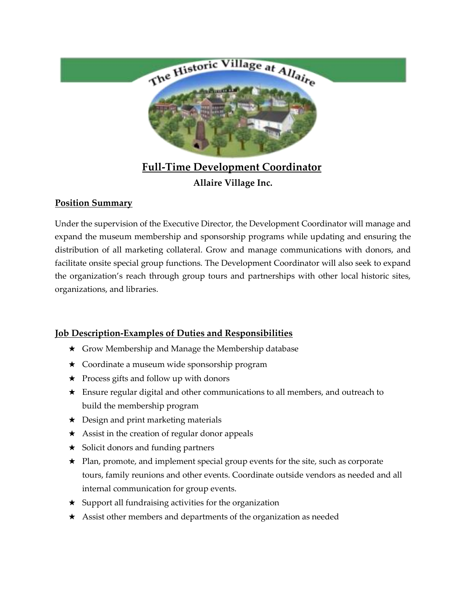

# **Full-Time Development Coordinator Allaire Village Inc.**

### **Position Summary**

Under the supervision of the Executive Director, the Development Coordinator will manage and expand the museum membership and sponsorship programs while updating and ensuring the distribution of all marketing collateral. Grow and manage communications with donors, and facilitate onsite special group functions. The Development Coordinator will also seek to expand the organization's reach through group tours and partnerships with other local historic sites, organizations, and libraries.

## **Job Description-Examples of Duties and Responsibilities**

- ★ Grow Membership and Manage the Membership database
- ★ Coordinate a museum wide sponsorship program
- ★ Process gifts and follow up with donors
- ★ Ensure regular digital and other communications to all members, and outreach to build the membership program
- ★ Design and print marketing materials
- ★ Assist in the creation of regular donor appeals
- ★ Solicit donors and funding partners
- ★ Plan, promote, and implement special group events for the site, such as corporate tours, family reunions and other events. Coordinate outside vendors as needed and all internal communication for group events.
- $\star$  Support all fundraising activities for the organization
- ★ Assist other members and departments of the organization as needed